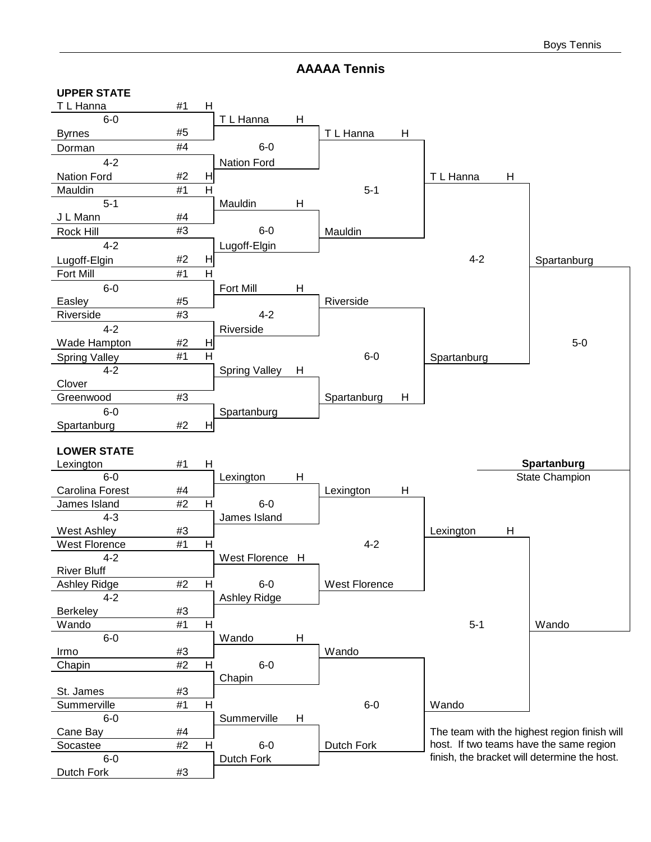#### **AAAAA Tennis**

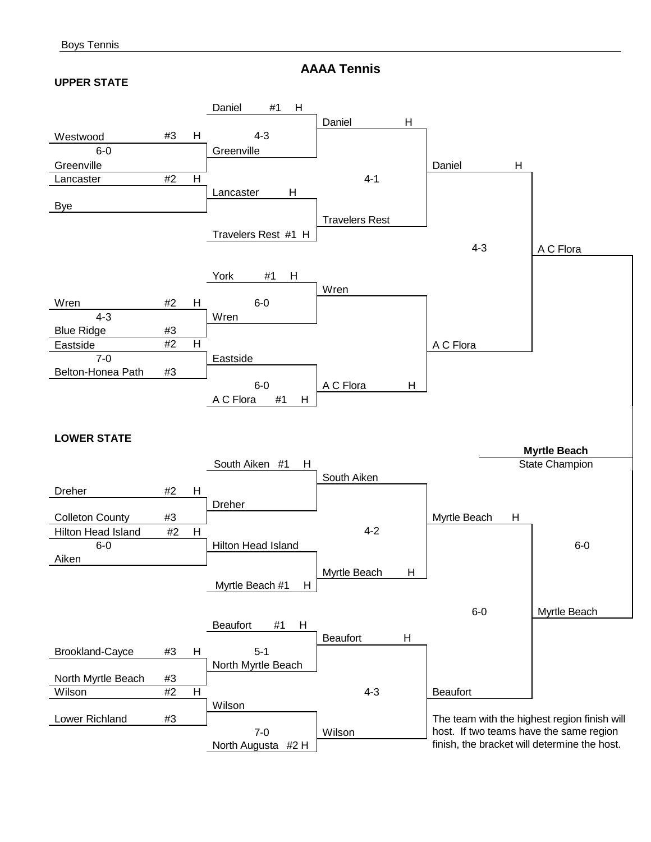**AAAA Tennis**

#### **UPPER STATE**

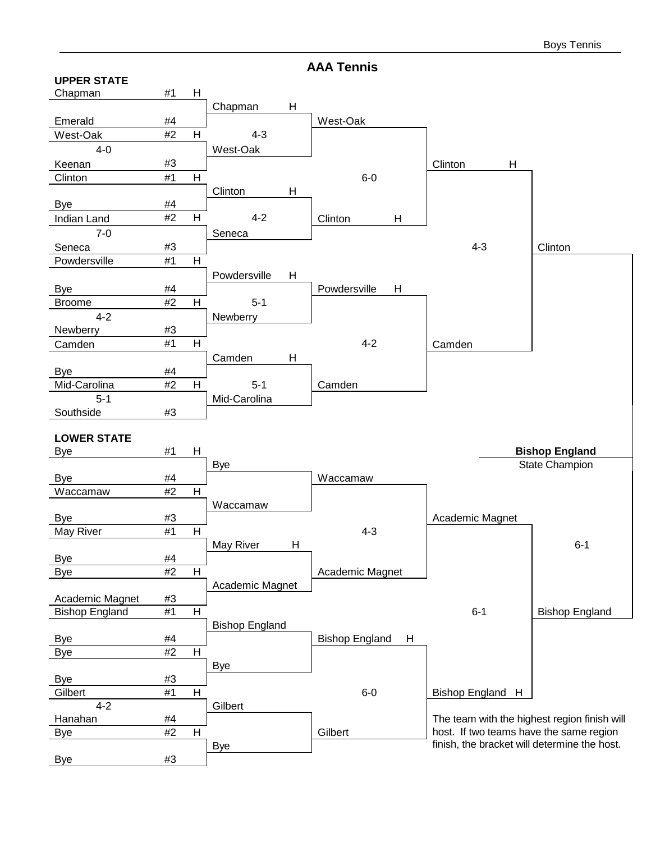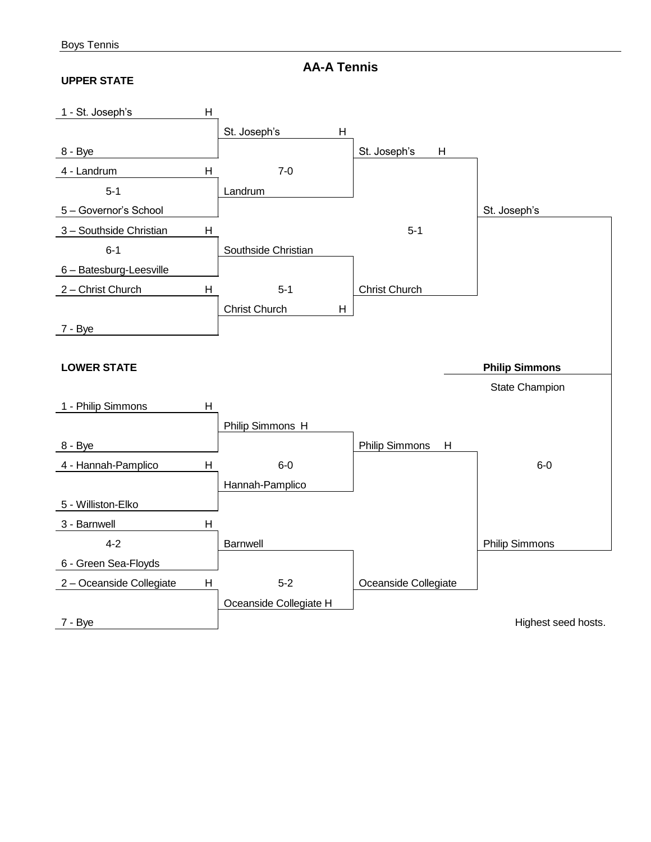**AA-A Tennis**

#### **UPPER STATE**

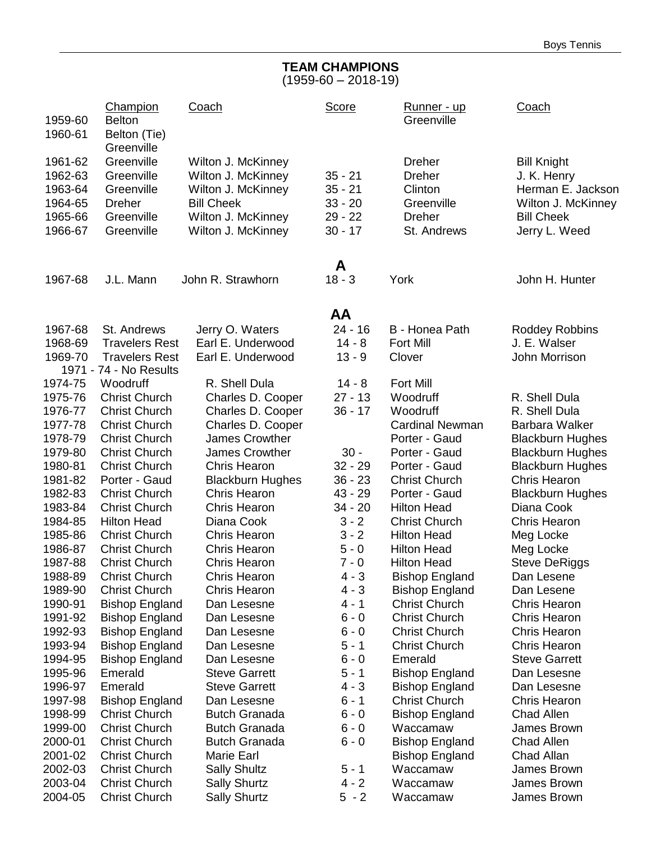#### **TEAM CHAMPIONS** (1959-60 – 2018-19)

| 1959-60            | Champion<br><b>Belton</b>                       | Coach                               | <b>Score</b>           | <u>Runner - up</u><br>Greenville    | Coach                                 |
|--------------------|-------------------------------------------------|-------------------------------------|------------------------|-------------------------------------|---------------------------------------|
| 1960-61            | Belton (Tie)<br>Greenville                      |                                     |                        |                                     |                                       |
| 1961-62            | Greenville                                      | Wilton J. McKinney                  |                        | <b>Dreher</b>                       | <b>Bill Knight</b>                    |
| 1962-63            | Greenville                                      | Wilton J. McKinney                  | $35 - 21$              | <b>Dreher</b>                       | J. K. Henry                           |
| 1963-64            | Greenville                                      | Wilton J. McKinney                  | $35 - 21$              | Clinton                             | Herman E. Jackson                     |
| 1964-65            | <b>Dreher</b>                                   | <b>Bill Cheek</b>                   | $33 - 20$              | Greenville                          | Wilton J. McKinney                    |
| 1965-66            | Greenville                                      | Wilton J. McKinney                  | $29 - 22$              | <b>Dreher</b>                       | <b>Bill Cheek</b>                     |
| 1966-67            | Greenville                                      | Wilton J. McKinney                  | $30 - 17$              | St. Andrews                         | Jerry L. Weed                         |
|                    |                                                 |                                     | A                      |                                     |                                       |
| 1967-68            | J.L. Mann                                       | John R. Strawhorn                   | $18 - 3$               | York                                | John H. Hunter                        |
|                    |                                                 |                                     | AA                     |                                     |                                       |
| 1967-68            | St. Andrews                                     | Jerry O. Waters                     | $24 - 16$              | B - Honea Path                      | <b>Roddey Robbins</b>                 |
| 1968-69            | <b>Travelers Rest</b>                           | Earl E. Underwood                   | $14 - 8$               | <b>Fort Mill</b>                    | J. E. Walser                          |
| 1969-70            | <b>Travelers Rest</b><br>1971 - 74 - No Results | Earl E. Underwood                   | $13 - 9$               | Clover                              | John Morrison                         |
| 1974-75            | Woodruff                                        | R. Shell Dula                       | $14 - 8$               | <b>Fort Mill</b>                    |                                       |
| 1975-76            | <b>Christ Church</b>                            | Charles D. Cooper                   | $27 - 13$              | Woodruff                            | R. Shell Dula                         |
| 1976-77            | <b>Christ Church</b>                            | Charles D. Cooper                   | $36 - 17$              | Woodruff                            | R. Shell Dula                         |
| 1977-78            | <b>Christ Church</b>                            | Charles D. Cooper                   |                        | <b>Cardinal Newman</b>              | Barbara Walker                        |
| 1978-79            | <b>Christ Church</b>                            | <b>James Crowther</b>               |                        | Porter - Gaud                       | <b>Blackburn Hughes</b>               |
| 1979-80            | <b>Christ Church</b>                            | James Crowther                      | $30 -$                 | Porter - Gaud                       | <b>Blackburn Hughes</b>               |
| 1980-81            | <b>Christ Church</b>                            | <b>Chris Hearon</b>                 | $32 - 29$              | Porter - Gaud                       | <b>Blackburn Hughes</b>               |
| 1981-82            | Porter - Gaud                                   | <b>Blackburn Hughes</b>             | $36 - 23$              | <b>Christ Church</b>                | <b>Chris Hearon</b>                   |
| 1982-83<br>1983-84 | <b>Christ Church</b><br><b>Christ Church</b>    | Chris Hearon<br><b>Chris Hearon</b> | $43 - 29$<br>$34 - 20$ | Porter - Gaud<br><b>Hilton Head</b> | <b>Blackburn Hughes</b><br>Diana Cook |
| 1984-85            | <b>Hilton Head</b>                              | Diana Cook                          | $3 - 2$                | <b>Christ Church</b>                | <b>Chris Hearon</b>                   |
| 1985-86            | <b>Christ Church</b>                            | <b>Chris Hearon</b>                 | $3 - 2$                | <b>Hilton Head</b>                  | Meg Locke                             |
| 1986-87            | <b>Christ Church</b>                            | <b>Chris Hearon</b>                 | $5 - 0$                | <b>Hilton Head</b>                  | Meg Locke                             |
| 1987-88            | <b>Christ Church</b>                            | <b>Chris Hearon</b>                 | $7 - 0$                | <b>Hilton Head</b>                  | <b>Steve DeRiggs</b>                  |
| 1988-89            | <b>Christ Church</b>                            | <b>Chris Hearon</b>                 | $4 - 3$                | <b>Bishop England</b>               | Dan Lesene                            |
| 1989-90            | <b>Christ Church</b>                            | <b>Chris Hearon</b>                 | $4 - 3$                | <b>Bishop England</b>               | Dan Lesene                            |
| 1990-91            | <b>Bishop England</b>                           | Dan Lesesne                         | 4 - 1                  | <b>Christ Church</b>                | Chris Hearon                          |
| 1991-92            | <b>Bishop England</b>                           | Dan Lesesne                         | $6 - 0$                | <b>Christ Church</b>                | Chris Hearon                          |
| 1992-93            | <b>Bishop England</b>                           | Dan Lesesne                         | $6 - 0$                | <b>Christ Church</b>                | Chris Hearon                          |
| 1993-94            | <b>Bishop England</b>                           | Dan Lesesne                         | $5 - 1$                | <b>Christ Church</b>                | <b>Chris Hearon</b>                   |
| 1994-95            | <b>Bishop England</b>                           | Dan Lesesne                         | $6 - 0$                | Emerald                             | <b>Steve Garrett</b>                  |
| 1995-96            | Emerald                                         | <b>Steve Garrett</b>                | $5 - 1$                | <b>Bishop England</b>               | Dan Lesesne                           |
| 1996-97            | Emerald                                         | <b>Steve Garrett</b>                | $4 - 3$                | <b>Bishop England</b>               | Dan Lesesne                           |
| 1997-98            | <b>Bishop England</b>                           | Dan Lesesne                         | $6 - 1$                | <b>Christ Church</b>                | Chris Hearon                          |
| 1998-99            | <b>Christ Church</b>                            | <b>Butch Granada</b>                | $6 - 0$                | <b>Bishop England</b>               | <b>Chad Allen</b>                     |
| 1999-00            | <b>Christ Church</b>                            | <b>Butch Granada</b>                | $6 - 0$                | Waccamaw                            | James Brown                           |
| 2000-01            | <b>Christ Church</b>                            | <b>Butch Granada</b>                | $6 - 0$                | <b>Bishop England</b>               | <b>Chad Allen</b>                     |
| 2001-02            | <b>Christ Church</b>                            | Marie Earl                          |                        | <b>Bishop England</b>               | Chad Allan                            |
| 2002-03            | <b>Christ Church</b>                            | <b>Sally Shultz</b>                 | $5 - 1$                | Waccamaw                            | James Brown                           |
| 2003-04            | <b>Christ Church</b>                            | <b>Sally Shurtz</b>                 | $4 - 2$                | Waccamaw                            | James Brown                           |
| 2004-05            | <b>Christ Church</b>                            | <b>Sally Shurtz</b>                 | $5 - 2$                | Waccamaw                            | James Brown                           |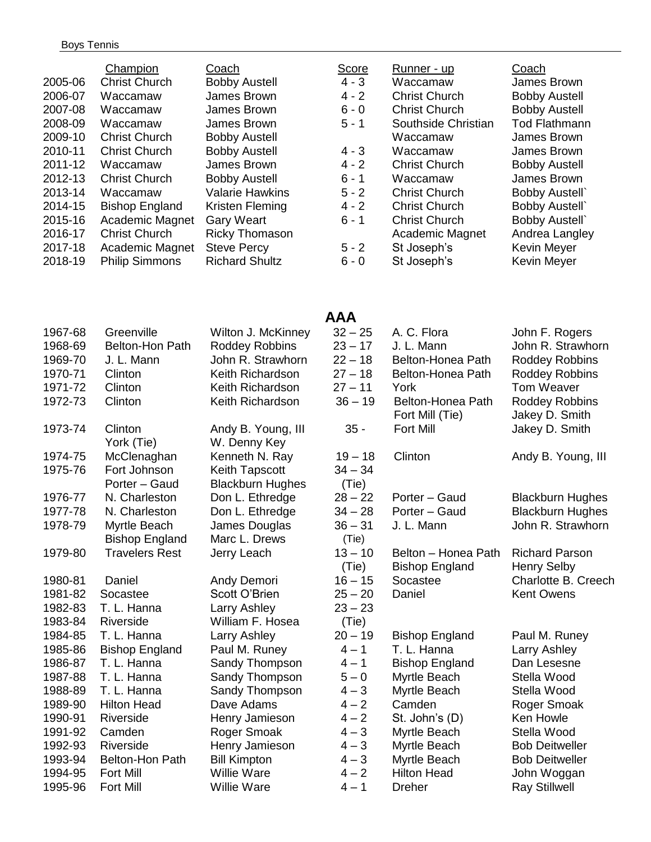#### Boys Tennis

| 2005-06<br>2006-07<br>2007-08<br>2008-09<br>2009-10<br>2010-11<br>2011-12<br>2012-13<br>2013-14<br>2014-15<br>2015-16<br>2016-17<br>2017-18<br>2018-19 | Champion<br><b>Christ Church</b><br>Waccamaw<br>Waccamaw<br>Waccamaw<br><b>Christ Church</b><br><b>Christ Church</b><br>Waccamaw<br><b>Christ Church</b><br>Waccamaw<br><b>Bishop England</b><br>Academic Magnet<br><b>Christ Church</b><br>Academic Magnet<br><b>Philip Simmons</b> | Coach<br><b>Bobby Austell</b><br>James Brown<br>James Brown<br>James Brown<br><b>Bobby Austell</b><br><b>Bobby Austell</b><br>James Brown<br><b>Bobby Austell</b><br><b>Valarie Hawkins</b><br>Kristen Fleming<br><b>Gary Weart</b><br><b>Ricky Thomason</b><br><b>Steve Percy</b><br><b>Richard Shultz</b> | <b>Score</b><br>$4 - 3$<br>$4 - 2$<br>$6 - 0$<br>$5 - 1$<br>$4 - 3$<br>$4 - 2$<br>$6 - 1$<br>$5 - 2$<br>$4 - 2$<br>$6 - 1$<br>$5 - 2$<br>$6 - 0$ | Runner - up<br>Waccamaw<br><b>Christ Church</b><br><b>Christ Church</b><br>Southside Christian<br>Waccamaw<br>Waccamaw<br><b>Christ Church</b><br>Waccamaw<br><b>Christ Church</b><br><b>Christ Church</b><br><b>Christ Church</b><br>Academic Magnet<br>St Joseph's<br>St Joseph's | Coach<br>James Brown<br><b>Bobby Austell</b><br><b>Bobby Austell</b><br><b>Tod Flathmann</b><br>James Brown<br>James Brown<br><b>Bobby Austell</b><br>James Brown<br><b>Bobby Austell</b><br><b>Bobby Austell</b><br><b>Bobby Austell</b><br>Andrea Langley<br>Kevin Meyer<br>Kevin Meyer |
|--------------------------------------------------------------------------------------------------------------------------------------------------------|--------------------------------------------------------------------------------------------------------------------------------------------------------------------------------------------------------------------------------------------------------------------------------------|-------------------------------------------------------------------------------------------------------------------------------------------------------------------------------------------------------------------------------------------------------------------------------------------------------------|--------------------------------------------------------------------------------------------------------------------------------------------------|-------------------------------------------------------------------------------------------------------------------------------------------------------------------------------------------------------------------------------------------------------------------------------------|-------------------------------------------------------------------------------------------------------------------------------------------------------------------------------------------------------------------------------------------------------------------------------------------|
| 1967-68<br>1968-69                                                                                                                                     | Greenville<br>Belton-Hon Path                                                                                                                                                                                                                                                        | Wilton J. McKinney<br>Roddey Robbins                                                                                                                                                                                                                                                                        | <b>AAA</b><br>$32 - 25$<br>$23 - 17$                                                                                                             | A. C. Flora<br>J. L. Mann                                                                                                                                                                                                                                                           | John F. Rogers<br>John R. Strawhorn                                                                                                                                                                                                                                                       |

| 1968-69 | <b>Belton-Hon Path</b>                | Roddey Robbins                                   | $23 - 17$          | J. L. Mann                                   | John R. Stra                              |
|---------|---------------------------------------|--------------------------------------------------|--------------------|----------------------------------------------|-------------------------------------------|
| 1969-70 | J. L. Mann                            | John R. Strawhorn                                | $22 - 18$          | Belton-Honea Path                            | <b>Roddey Rob</b>                         |
| 1970-71 | Clinton                               | Keith Richardson                                 | $27 - 18$          | Belton-Honea Path                            | Roddey Rob                                |
| 1971-72 | Clinton                               | Keith Richardson                                 | $27 - 11$          | York                                         | Tom Weave                                 |
| 1972-73 | Clinton                               | Keith Richardson                                 | $36 - 19$          | Belton-Honea Path<br>Fort Mill (Tie)         | <b>Roddey Rob</b><br>Jakey D. Sm          |
| 1973-74 | Clinton<br>York (Tie)                 | Andy B. Young, III<br>W. Denny Key               | $35 -$             | <b>Fort Mill</b>                             | Jakey D. Sm                               |
| 1974-75 | McClenaghan                           | Kenneth N. Ray                                   | $19 - 18$          | Clinton                                      | Andy B. You                               |
| 1975-76 | Fort Johnson<br>Porter - Gaud         | <b>Keith Tapscott</b><br><b>Blackburn Hughes</b> | $34 - 34$<br>(Tie) |                                              |                                           |
| 1976-77 | N. Charleston                         | Don L. Ethredge                                  | $28 - 22$          | Porter - Gaud                                | <b>Blackburn H</b>                        |
| 1977-78 | N. Charleston                         | Don L. Ethredge                                  | $34 - 28$          | Porter - Gaud                                | <b>Blackburn H</b>                        |
| 1978-79 | Myrtle Beach<br><b>Bishop England</b> | James Douglas<br>Marc L. Drews                   | $36 - 31$<br>(Tie) | J. L. Mann                                   | John R. Stra                              |
| 1979-80 | <b>Travelers Rest</b>                 | Jerry Leach                                      | $13 - 10$<br>(Tie) | Belton - Honea Path<br><b>Bishop England</b> | <b>Richard Pars</b><br><b>Henry Selby</b> |
| 1980-81 | Daniel                                | Andy Demori                                      | $16 - 15$          | Socastee                                     | Charlotte B.                              |
| 1981-82 | Socastee                              | Scott O'Brien                                    | $25 - 20$          | Daniel                                       | <b>Kent Owens</b>                         |
| 1982-83 | T. L. Hanna                           | Larry Ashley                                     | $23 - 23$          |                                              |                                           |
| 1983-84 | Riverside                             | William F. Hosea                                 | (Tie)              |                                              |                                           |
| 1984-85 | T. L. Hanna                           | Larry Ashley                                     | $20 - 19$          | <b>Bishop England</b>                        | Paul M. Run                               |
| 1985-86 | <b>Bishop England</b>                 | Paul M. Runey                                    | $4 - 1$            | T. L. Hanna                                  | Larry Ashley                              |
| 1986-87 | T. L. Hanna                           | Sandy Thompson                                   | $4 - 1$            | <b>Bishop England</b>                        | Dan Lesesne                               |
| 1987-88 | T. L. Hanna                           | Sandy Thompson                                   | $5 - 0$            | Myrtle Beach                                 | Stella Wood                               |
| 1988-89 | T. L. Hanna                           | Sandy Thompson                                   | $4 - 3$            | Myrtle Beach                                 | Stella Wood                               |
| 1989-90 | <b>Hilton Head</b>                    | Dave Adams                                       | $4 - 2$            | Camden                                       | Roger Smoa                                |
| 1990-91 | Riverside                             | Henry Jamieson                                   | $4 - 2$            | St. John's (D)                               | Ken Howle                                 |
| 1991-92 | Camden                                | Roger Smoak                                      | $4 - 3$            | Myrtle Beach                                 | Stella Wood                               |
| 1992-93 | Riverside                             | Henry Jamieson                                   | $4 - 3$            | Myrtle Beach                                 | <b>Bob Deitwell</b>                       |
| 1993-94 | Belton-Hon Path                       | <b>Bill Kimpton</b>                              | $4 - 3$            | Myrtle Beach                                 | <b>Bob Deitwell</b>                       |
| 1994-95 | <b>Fort Mill</b>                      | <b>Willie Ware</b>                               | $4 - 2$            | <b>Hilton Head</b>                           | John Wogga                                |
| 1995-96 | <b>Fort Mill</b>                      | Willie Ware                                      | $4 - 1$            | <b>Dreher</b>                                | <b>Ray Stillwell</b>                      |

# 22 – 18 Belton-Honea Path Roddey Robbins 197 – 18 Belton-Honea Path Roddey Robbins<br>197 – 11 York **Tom Weaver** 1971-1971 - Tom Weaver 1972-19 Belton-Honea Path Roddey Robbins Fort Mill (Tie) Jakey D. Smith 1974 - 1974 - 1975 - 1976 Fort Mill Jakey D. Smith 19-18 Clinton Andy B. Young, III  $34 - 34$  $28 - 22$  Porter – Gaud Blackburn Hughes 1977-1978 - 1977 N. Charleston D. Etherston D. Etherston D. Etherston D. Etherston D. Etherston D. E 1978-79 Myrtle Beach James Douglas 36 – 31 J. L. Mann John R. Strawhorn 13 – 10 Belton – Honea Path Richard Parson (Tie) Bishop England Henry Selby<br>6 - 15 Socastee Charlotte B. 16 - 15 Socastee Charlotte B. Creech  $23 - 23$ 20 - 19 Bishop England Paul M. Runey 4-1 T. L. Hanna Larry Ashley 4-1 Bishop England Dan Lesesne 5-0 Myrtle Beach Stella Wood 4-3 Myrtle Beach Stella Wood 4-2 Camden Roger Smoak  $4-2$  St. John's (D) Ken Howle 4-3 Myrtle Beach Stella Wood 4-3 Myrtle Beach Bob Deitweller 4-3 Myrtle Beach Bob Deitweller  $4-2$  Hilton Head John Woggan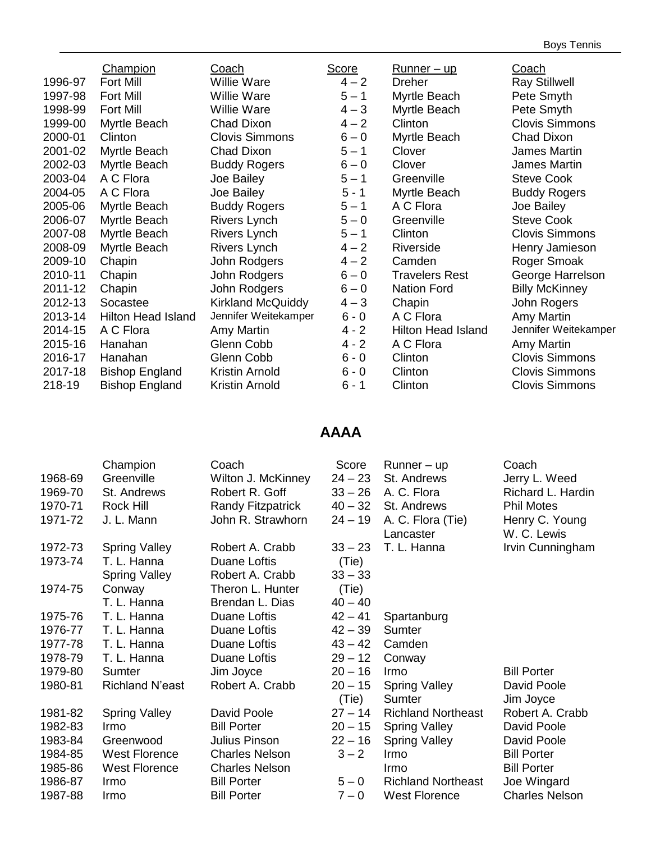|         | Champion                  | Coach                    | <b>Score</b> | <u>Runner – up</u>        | Coach                 |
|---------|---------------------------|--------------------------|--------------|---------------------------|-----------------------|
| 1996-97 | <b>Fort Mill</b>          | <b>Willie Ware</b>       | $4 - 2$      | Dreher                    | <b>Ray Stillwell</b>  |
| 1997-98 | <b>Fort Mill</b>          | <b>Willie Ware</b>       | $5 - 1$      | Myrtle Beach              | Pete Smyth            |
| 1998-99 | <b>Fort Mill</b>          | <b>Willie Ware</b>       | $4 - 3$      | Myrtle Beach              | Pete Smyth            |
| 1999-00 | Myrtle Beach              | Chad Dixon               | $4 - 2$      | Clinton                   | <b>Clovis Simmons</b> |
| 2000-01 | Clinton                   | <b>Clovis Simmons</b>    | $6 - 0$      | Myrtle Beach              | Chad Dixon            |
| 2001-02 | Myrtle Beach              | Chad Dixon               | $5 - 1$      | Clover                    | James Martin          |
| 2002-03 | Myrtle Beach              | <b>Buddy Rogers</b>      | $6 - 0$      | Clover                    | James Martin          |
| 2003-04 | A C Flora                 | Joe Bailey               | $5 - 1$      | Greenville                | <b>Steve Cook</b>     |
| 2004-05 | A C Flora                 | Joe Bailey               | $5 - 1$      | Myrtle Beach              | <b>Buddy Rogers</b>   |
| 2005-06 | Myrtle Beach              | <b>Buddy Rogers</b>      | $5 - 1$      | A C Flora                 | Joe Bailey            |
| 2006-07 | Myrtle Beach              | Rivers Lynch             | $5 - 0$      | Greenville                | <b>Steve Cook</b>     |
| 2007-08 | Myrtle Beach              | Rivers Lynch             | $5 - 1$      | Clinton                   | <b>Clovis Simmons</b> |
| 2008-09 | Myrtle Beach              | Rivers Lynch             | $4 - 2$      | Riverside                 | Henry Jamieson        |
| 2009-10 | Chapin                    | John Rodgers             | $4 - 2$      | Camden                    | Roger Smoak           |
| 2010-11 | Chapin                    | John Rodgers             | $6 - 0$      | <b>Travelers Rest</b>     | George Harrelson      |
| 2011-12 | Chapin                    | John Rodgers             | $6 - 0$      | <b>Nation Ford</b>        | <b>Billy McKinney</b> |
| 2012-13 | Socastee                  | <b>Kirkland McQuiddy</b> | $4 - 3$      | Chapin                    | John Rogers           |
| 2013-14 | <b>Hilton Head Island</b> | Jennifer Weitekamper     | $6 - 0$      | A C Flora                 | Amy Martin            |
| 2014-15 | A C Flora                 | Amy Martin               | $4 - 2$      | <b>Hilton Head Island</b> | Jennifer Weitekamper  |
| 2015-16 | Hanahan                   | Glenn Cobb               | $4 - 2$      | A C Flora                 | Amy Martin            |
| 2016-17 | Hanahan                   | Glenn Cobb               | $6 - 0$      | Clinton                   | <b>Clovis Simmons</b> |
| 2017-18 | <b>Bishop England</b>     | Kristin Arnold           | $6 - 0$      | Clinton                   | <b>Clovis Simmons</b> |
| 218-19  | <b>Bishop England</b>     | Kristin Arnold           | $6 - 1$      | Clinton                   | <b>Clovis Simmons</b> |

## **AAAA**

| 1968-69 | Champion<br>Greenville | Coach<br>Wilton J. McKinney | Score<br>$24 - 23$ | $Runner - up$<br>St. Andrews | Coach<br>Jerry L. Weed |
|---------|------------------------|-----------------------------|--------------------|------------------------------|------------------------|
| 1969-70 | St. Andrews            | Robert R. Goff              | $33 - 26$          | A. C. Flora                  | Richard L. Hardin      |
| 1970-71 | Rock Hill              | <b>Randy Fitzpatrick</b>    | $40 - 32$          | St. Andrews                  | <b>Phil Motes</b>      |
| 1971-72 | J. L. Mann             | John R. Strawhorn           | $24 - 19$          | A. C. Flora (Tie)            | Henry C. Young         |
|         |                        |                             |                    | Lancaster                    | W. C. Lewis            |
| 1972-73 | <b>Spring Valley</b>   | Robert A. Crabb             | $33 - 23$          | T. L. Hanna                  | Irvin Cunningham       |
| 1973-74 | T. L. Hanna            | Duane Loftis                | (Tie)              |                              |                        |
|         | <b>Spring Valley</b>   | Robert A. Crabb             | $33 - 33$          |                              |                        |
| 1974-75 | Conway                 | Theron L. Hunter            | (Tie)              |                              |                        |
|         | T. L. Hanna            | Brendan L. Dias             | $40 - 40$          |                              |                        |
| 1975-76 | T. L. Hanna            | Duane Loftis                | $42 - 41$          | Spartanburg                  |                        |
| 1976-77 | T. L. Hanna            | Duane Loftis                | $42 - 39$          | <b>Sumter</b>                |                        |
| 1977-78 | T. L. Hanna            | Duane Loftis                | $43 - 42$          | Camden                       |                        |
| 1978-79 | T. L. Hanna            | Duane Loftis                | $29 - 12$          | Conway                       |                        |
| 1979-80 | Sumter                 | Jim Joyce                   | $20 - 16$          | Irmo                         | <b>Bill Porter</b>     |
| 1980-81 | <b>Richland N'east</b> | Robert A. Crabb             | $20 - 15$          | <b>Spring Valley</b>         | David Poole            |
|         |                        |                             | (Tie)              | Sumter                       | Jim Joyce              |
| 1981-82 | <b>Spring Valley</b>   | David Poole                 | $27 - 14$          | <b>Richland Northeast</b>    | Robert A. Crabb        |
| 1982-83 | Irmo                   | <b>Bill Porter</b>          | $20 - 15$          | <b>Spring Valley</b>         | David Poole            |
| 1983-84 | Greenwood              | Julius Pinson               | $22 - 16$          | <b>Spring Valley</b>         | David Poole            |
| 1984-85 | <b>West Florence</b>   | <b>Charles Nelson</b>       | $3 - 2$            | Irmo                         | <b>Bill Porter</b>     |
| 1985-86 | <b>West Florence</b>   | <b>Charles Nelson</b>       |                    | Irmo                         | <b>Bill Porter</b>     |
| 1986-87 | Irmo                   | <b>Bill Porter</b>          | $5 - 0$            | <b>Richland Northeast</b>    | Joe Wingard            |
| 1987-88 | Irmo                   | <b>Bill Porter</b>          | $7 - 0$            | <b>West Florence</b>         | <b>Charles Nelson</b>  |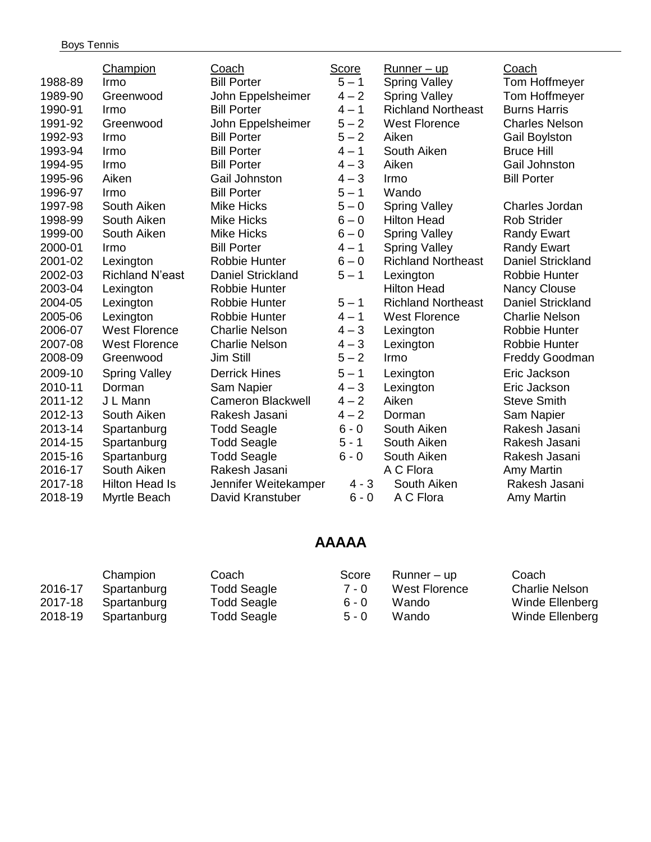|         | Champion               | Coach                    | Score   | $Runner - up$             | Coach                    |
|---------|------------------------|--------------------------|---------|---------------------------|--------------------------|
| 1988-89 | Irmo                   | <b>Bill Porter</b>       | $5 - 1$ | <b>Spring Valley</b>      | <b>Tom Hoffmeyer</b>     |
| 1989-90 | Greenwood              | John Eppelsheimer        | $4 - 2$ | <b>Spring Valley</b>      | <b>Tom Hoffmeyer</b>     |
| 1990-91 | Irmo                   | <b>Bill Porter</b>       | $4 - 1$ | <b>Richland Northeast</b> | <b>Burns Harris</b>      |
| 1991-92 | Greenwood              | John Eppelsheimer        | $5 - 2$ | <b>West Florence</b>      | <b>Charles Nelson</b>    |
| 1992-93 | Irmo                   | <b>Bill Porter</b>       | $5 - 2$ | Aiken                     | <b>Gail Boylston</b>     |
| 1993-94 | Irmo                   | <b>Bill Porter</b>       | $4 - 1$ | South Aiken               | <b>Bruce Hill</b>        |
| 1994-95 | Irmo                   | <b>Bill Porter</b>       | $4 - 3$ | Aiken                     | Gail Johnston            |
| 1995-96 | Aiken                  | Gail Johnston            | $4 - 3$ | Irmo                      | <b>Bill Porter</b>       |
| 1996-97 | Irmo                   | <b>Bill Porter</b>       | $5 - 1$ | Wando                     |                          |
| 1997-98 | South Aiken            | <b>Mike Hicks</b>        | $5 - 0$ | <b>Spring Valley</b>      | Charles Jordan           |
| 1998-99 | South Aiken            | <b>Mike Hicks</b>        | $6 - 0$ | <b>Hilton Head</b>        | <b>Rob Strider</b>       |
| 1999-00 | South Aiken            | <b>Mike Hicks</b>        | $6 - 0$ | <b>Spring Valley</b>      | <b>Randy Ewart</b>       |
| 2000-01 | Irmo                   | <b>Bill Porter</b>       | $4 - 1$ | <b>Spring Valley</b>      | <b>Randy Ewart</b>       |
| 2001-02 | Lexington              | <b>Robbie Hunter</b>     | $6 - 0$ | <b>Richland Northeast</b> | Daniel Strickland        |
| 2002-03 | <b>Richland N'east</b> | <b>Daniel Strickland</b> | $5 - 1$ | Lexington                 | Robbie Hunter            |
| 2003-04 | Lexington              | <b>Robbie Hunter</b>     |         | <b>Hilton Head</b>        | <b>Nancy Clouse</b>      |
| 2004-05 | Lexington              | <b>Robbie Hunter</b>     | $5 - 1$ | <b>Richland Northeast</b> | <b>Daniel Strickland</b> |
| 2005-06 | Lexington              | Robbie Hunter            | $4 - 1$ | <b>West Florence</b>      | <b>Charlie Nelson</b>    |
| 2006-07 | <b>West Florence</b>   | <b>Charlie Nelson</b>    | $4 - 3$ | Lexington                 | Robbie Hunter            |
| 2007-08 | <b>West Florence</b>   | <b>Charlie Nelson</b>    | $4 - 3$ | Lexington                 | Robbie Hunter            |
| 2008-09 | Greenwood              | Jim Still                | $5 - 2$ | Irmo                      | <b>Freddy Goodman</b>    |
| 2009-10 | <b>Spring Valley</b>   | <b>Derrick Hines</b>     | $5 - 1$ | Lexington                 | Eric Jackson             |
| 2010-11 | Dorman                 | Sam Napier               | $4 - 3$ | Lexington                 | Eric Jackson             |
| 2011-12 | J L Mann               | Cameron Blackwell        | $4 - 2$ | Aiken                     | <b>Steve Smith</b>       |
| 2012-13 | South Aiken            | Rakesh Jasani            | $4 - 2$ | Dorman                    | Sam Napier               |
| 2013-14 | Spartanburg            | <b>Todd Seagle</b>       | $6 - 0$ | South Aiken               | Rakesh Jasani            |
| 2014-15 | Spartanburg            | <b>Todd Seagle</b>       | $5 - 1$ | South Aiken               | Rakesh Jasani            |
| 2015-16 | Spartanburg            | <b>Todd Seagle</b>       | $6 - 0$ | South Aiken               | Rakesh Jasani            |
| 2016-17 | South Aiken            | Rakesh Jasani            |         | A C Flora                 | <b>Amy Martin</b>        |
| 2017-18 | <b>Hilton Head Is</b>  | Jennifer Weitekamper     | $4 - 3$ | South Aiken               | Rakesh Jasani            |
| 2018-19 | Myrtle Beach           | David Kranstuber         | $6 - 0$ | A C Flora                 | Amy Martin               |

# **AAAAA**

|         | Champion    | Coach       | Score   | Runner – up   | Coach                 |
|---------|-------------|-------------|---------|---------------|-----------------------|
| 2016-17 | Spartanburg | Todd Seagle | 7 - 0   | West Florence | <b>Charlie Nelson</b> |
| 2017-18 | Spartanburg | Todd Seagle | 6 - 0   | Wando         | Winde Ellenberg       |
| 2018-19 | Spartanburg | Todd Seagle | $5 - 0$ | Wando         | Winde Ellenberg       |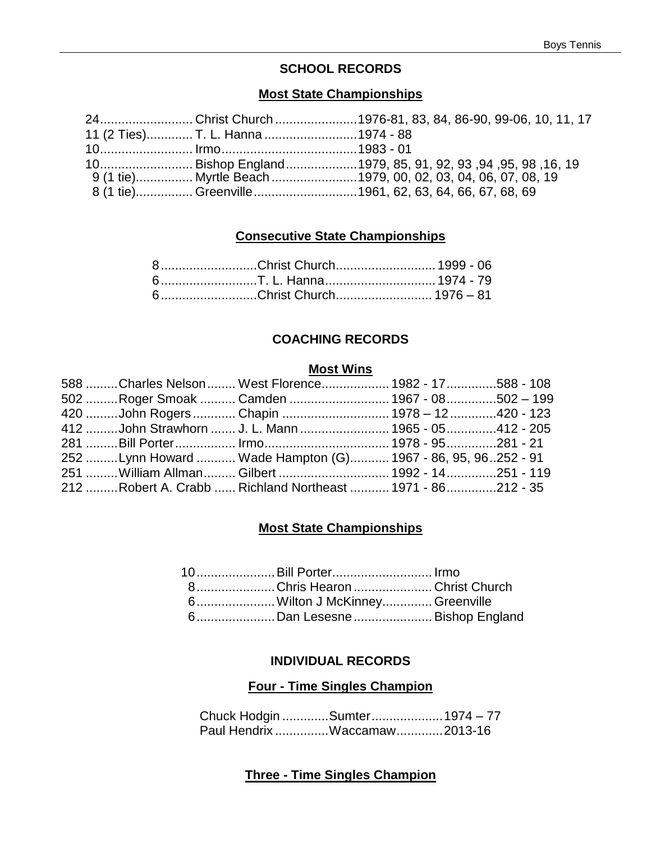### **SCHOOL RECORDS**

### **Most State Championships**

|                                   | 24Christ Church 1976-81, 83, 84, 86-90, 99-06, 10, 11, 17                               |
|-----------------------------------|-----------------------------------------------------------------------------------------|
| 11 (2 Ties) T. L. Hanna 1974 - 88 |                                                                                         |
|                                   |                                                                                         |
|                                   | 10. 16, 19, 98, 99, 99, 99, 99, 99, 94, 95, 91, 90, Bishop England 1979, 85, 91, 92, 93 |
|                                   | 9 (1 tie) Myrtle Beach 1979, 00, 02, 03, 04, 06, 07, 08, 19                             |
|                                   | 8 (1 tie) Greenville1961, 62, 63, 64, 66, 67, 68, 69                                    |

### **Consecutive State Championships**

| 6Christ Church 1976 - 81 |  |
|--------------------------|--|

### **COACHING RECORDS**

#### **Most Wins**

|  | 588 Charles Nelson  West Florence  1982 - 17 588 - 108           |  |
|--|------------------------------------------------------------------|--|
|  | 502 Roger Smoak  Camden  1967 - 08502 - 199                      |  |
|  |                                                                  |  |
|  | 412 John Strawhorn  J. L. Mann  1965 - 05 412 - 205              |  |
|  | 281 ………Bill Porter……………… Irmo……………………………… 1978 - 95……………281 - 21 |  |
|  | 252 Lynn Howard  Wade Hampton (G) 1967 - 86, 95, 96252 - 91      |  |
|  | 251 William Allman Gilbert  1992 - 14251 - 119                   |  |
|  | 212 Robert A. Crabb  Richland Northeast  1971 - 86 212 - 35      |  |

### **Most State Championships**

| 10 Bill Porter Irmo           |  |
|-------------------------------|--|
| 8Chris HearonChrist Church    |  |
| 6Wilton J McKinney Greenville |  |
| 6Dan Lesesne Bishop England   |  |

#### **INDIVIDUAL RECORDS**

### **Four - Time Singles Champion**

Chuck Hodgin .............Sumter....................1974 – 77 Paul Hendrix ...............Waccamaw.............2013-16

### **Three - Time Singles Champion**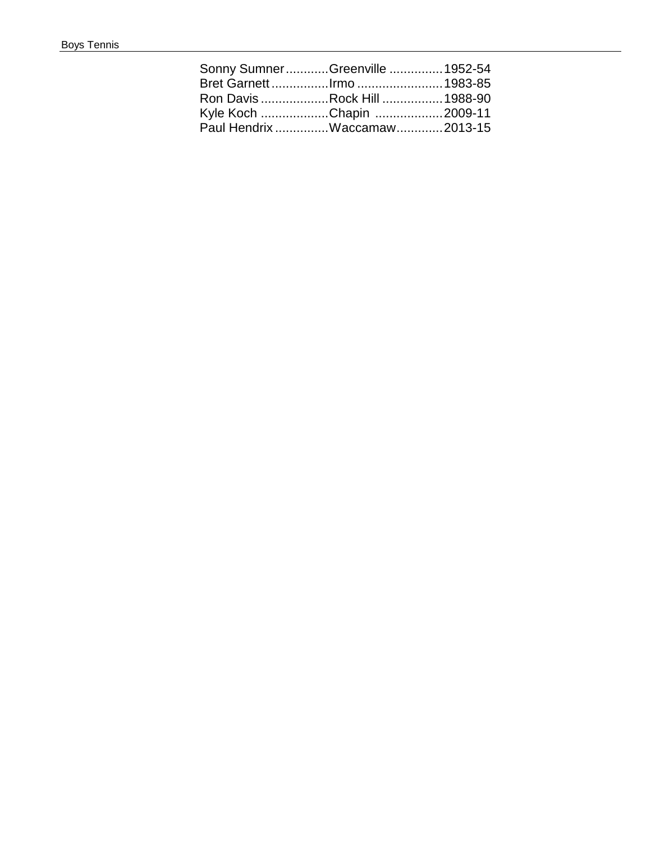| Sonny SumnerGreenville  1952-54 |  |
|---------------------------------|--|
| Bret Garnett Irmo  1983-85      |  |
| Ron Davis Rock Hill  1988-90    |  |
| Kyle Koch Chapin 2009-11        |  |
| Paul Hendrix Waccamaw 2013-15   |  |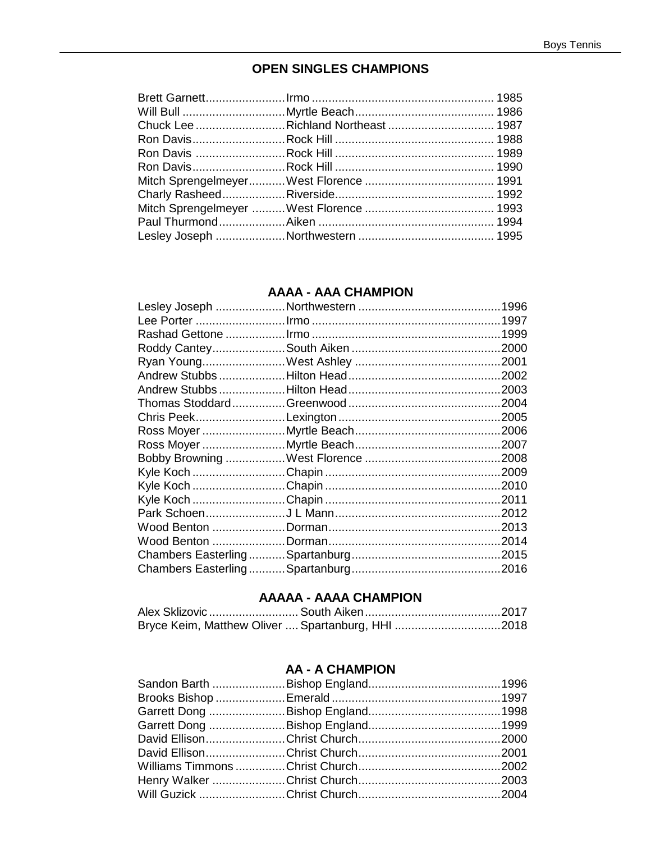### **OPEN SINGLES CHAMPIONS**

### **AAAA - AAA CHAMPION**

|  | .2011 |
|--|-------|
|  |       |
|  |       |
|  |       |
|  |       |
|  |       |

### **AAAAA - AAAA CHAMPION**

| Bryce Keim, Matthew Oliver  Spartanburg, HHI 2018 |  |
|---------------------------------------------------|--|

### **AA - A CHAMPION**